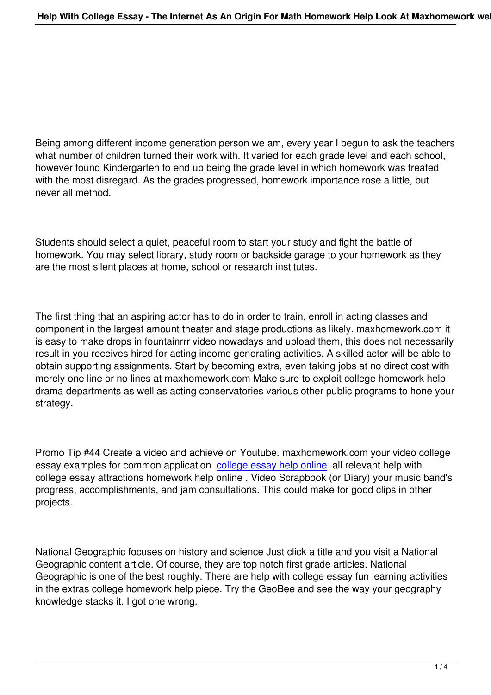Being among different income generation person we am, every year I begun to ask the teachers what number of children turned their work with. It varied for each grade level and each school, however found Kindergarten to end up being the grade level in which homework was treated with the most disregard. As the grades progressed, homework importance rose a little, but never all method.

Students should select a quiet, peaceful room to start your study and fight the battle of homework. You may select library, study room or backside garage to your homework as they are the most silent places at home, school or research institutes.

The first thing that an aspiring actor has to do in order to train, enroll in acting classes and component in the largest amount theater and stage productions as likely. maxhomework.com it is easy to make drops in fountainrrr video nowadays and upload them, this does not necessarily result in you receives hired for acting income generating activities. A skilled actor will be able to obtain supporting assignments. Start by becoming extra, even taking jobs at no direct cost with merely one line or no lines at maxhomework.com Make sure to exploit college homework help drama departments as well as acting conservatories various other public programs to hone your strategy.

Promo Tip #44 Create a video and achieve on Youtube. maxhomework.com your video college essay examples for common application college essay help online all relevant help with college essay attractions homework help online . Video Scrapbook (or Diary) your music band's progress, accomplishments, and jam consultations. This could make for good clips in other projects.

National Geographic focuses on history and science Just click a title and you visit a National Geographic content article. Of course, they are top notch first grade articles. National Geographic is one of the best roughly. There are help with college essay fun learning activities in the extras college homework help piece. Try the GeoBee and see the way your geography knowledge stacks it. I got one wrong.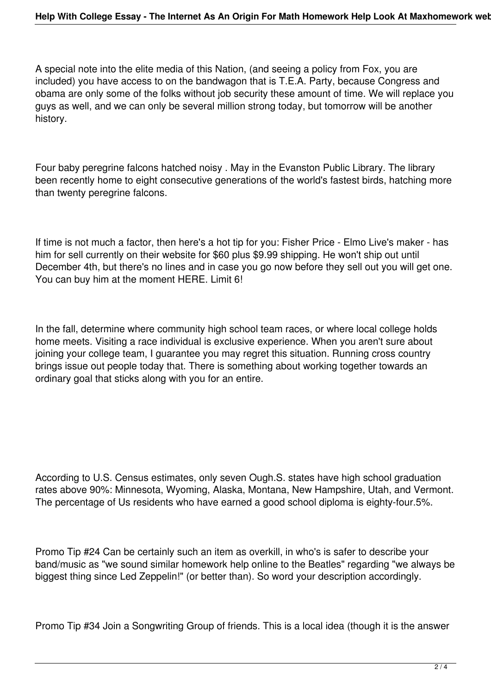A special note into the elite media of this Nation, (and seeing a policy from Fox, you are included) you have access to on the bandwagon that is T.E.A. Party, because Congress and obama are only some of the folks without job security these amount of time. We will replace you guys as well, and we can only be several million strong today, but tomorrow will be another history.

Four baby peregrine falcons hatched noisy . May in the Evanston Public Library. The library been recently home to eight consecutive generations of the world's fastest birds, hatching more than twenty peregrine falcons.

If time is not much a factor, then here's a hot tip for you: Fisher Price - Elmo Live's maker - has him for sell currently on their website for \$60 plus \$9.99 shipping. He won't ship out until December 4th, but there's no lines and in case you go now before they sell out you will get one. You can buy him at the moment HERE. Limit 6!

In the fall, determine where community high school team races, or where local college holds home meets. Visiting a race individual is exclusive experience. When you aren't sure about joining your college team, I guarantee you may regret this situation. Running cross country brings issue out people today that. There is something about working together towards an ordinary goal that sticks along with you for an entire.

According to U.S. Census estimates, only seven Ough.S. states have high school graduation rates above 90%: Minnesota, Wyoming, Alaska, Montana, New Hampshire, Utah, and Vermont. The percentage of Us residents who have earned a good school diploma is eighty-four.5%.

Promo Tip #24 Can be certainly such an item as overkill, in who's is safer to describe your band/music as "we sound similar homework help online to the Beatles" regarding "we always be biggest thing since Led Zeppelin!" (or better than). So word your description accordingly.

Promo Tip #34 Join a Songwriting Group of friends. This is a local idea (though it is the answer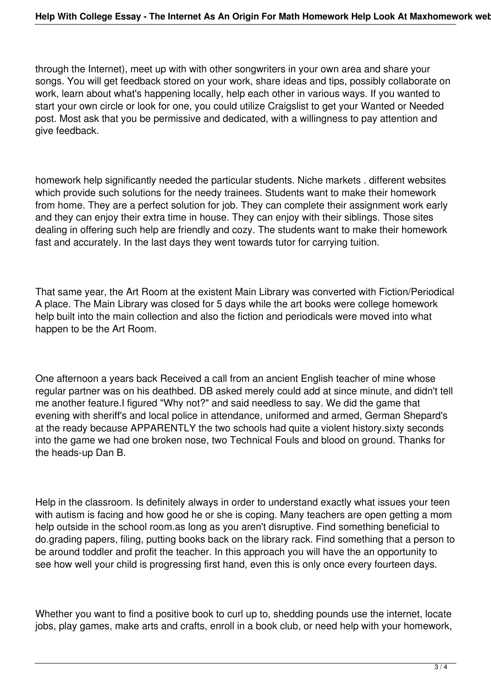through the Internet), meet up with with other songwriters in your own area and share your songs. You will get feedback stored on your work, share ideas and tips, possibly collaborate on work, learn about what's happening locally, help each other in various ways. If you wanted to start your own circle or look for one, you could utilize Craigslist to get your Wanted or Needed post. Most ask that you be permissive and dedicated, with a willingness to pay attention and give feedback.

homework help significantly needed the particular students. Niche markets . different websites which provide such solutions for the needy trainees. Students want to make their homework from home. They are a perfect solution for job. They can complete their assignment work early and they can enjoy their extra time in house. They can enjoy with their siblings. Those sites dealing in offering such help are friendly and cozy. The students want to make their homework fast and accurately. In the last days they went towards tutor for carrying tuition.

That same year, the Art Room at the existent Main Library was converted with Fiction/Periodical A place. The Main Library was closed for 5 days while the art books were college homework help built into the main collection and also the fiction and periodicals were moved into what happen to be the Art Room.

One afternoon a years back Received a call from an ancient English teacher of mine whose regular partner was on his deathbed. DB asked merely could add at since minute, and didn't tell me another feature.I figured "Why not?" and said needless to say. We did the game that evening with sheriff's and local police in attendance, uniformed and armed, German Shepard's at the ready because APPARENTLY the two schools had quite a violent history.sixty seconds into the game we had one broken nose, two Technical Fouls and blood on ground. Thanks for the heads-up Dan B.

Help in the classroom. Is definitely always in order to understand exactly what issues your teen with autism is facing and how good he or she is coping. Many teachers are open getting a mom help outside in the school room.as long as you aren't disruptive. Find something beneficial to do.grading papers, filing, putting books back on the library rack. Find something that a person to be around toddler and profit the teacher. In this approach you will have the an opportunity to see how well your child is progressing first hand, even this is only once every fourteen days.

Whether you want to find a positive book to curl up to, shedding pounds use the internet, locate jobs, play games, make arts and crafts, enroll in a book club, or need help with your homework,